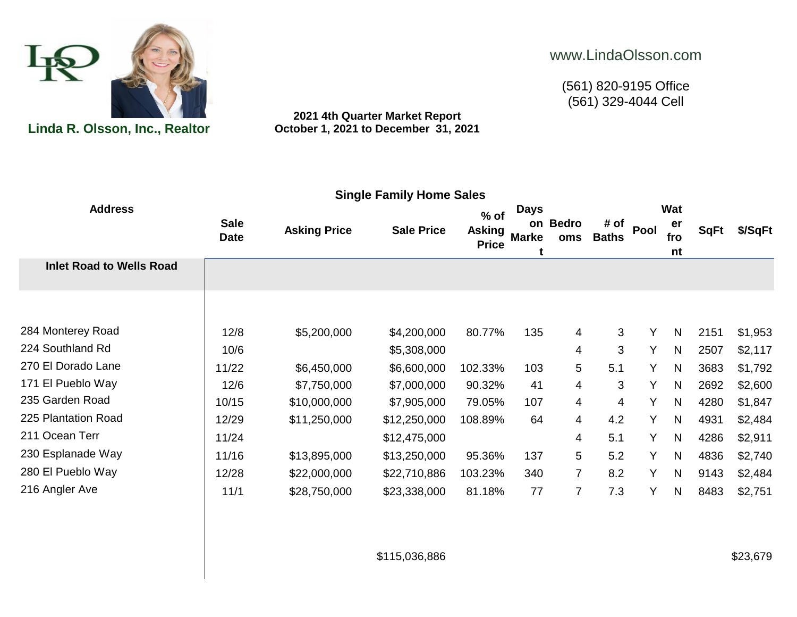

**2021 4th Quarter Market Report Linda R. Olsson, Inc., Realtor October 1, 2021 to December 31, 2021**

## www.LindaOlsson.com

(561) 820-9195 Office  $(561)$  329-4044 Cell

| <b>Address</b>                  | <b>Sale</b><br><b>Date</b> | <b>Asking Price</b> | <b>Sale Price</b> | $%$ of<br><b>Asking</b><br><b>Price</b> | <b>Days</b><br><b>Marke</b> | on Bedro<br>oms | # of<br><b>Baths</b> | Pool | Wat<br>er<br>fro<br>nt | <b>SqFt</b> | \$/SqFt |
|---------------------------------|----------------------------|---------------------|-------------------|-----------------------------------------|-----------------------------|-----------------|----------------------|------|------------------------|-------------|---------|
| <b>Inlet Road to Wells Road</b> |                            |                     |                   |                                         |                             |                 |                      |      |                        |             |         |
|                                 |                            |                     |                   |                                         |                             |                 |                      |      |                        |             |         |
| 284 Monterey Road               | 12/8                       | \$5,200,000         | \$4,200,000       | 80.77%                                  | 135                         | 4               | 3                    | Y    | $\mathsf{N}$           | 2151        | \$1,953 |
| 224 Southland Rd                | 10/6                       |                     | \$5,308,000       |                                         |                             | 4               | 3                    | Y    | $\mathsf{N}$           | 2507        | \$2,117 |
| 270 El Dorado Lane              | 11/22                      | \$6,450,000         | \$6,600,000       | 102.33%                                 | 103                         | 5               | 5.1                  | Y    | N                      | 3683        | \$1,792 |
| 171 El Pueblo Way               | 12/6                       | \$7,750,000         | \$7,000,000       | 90.32%                                  | 41                          | 4               | 3                    | Y    | N                      | 2692        | \$2,600 |
| 235 Garden Road                 | 10/15                      | \$10,000,000        | \$7,905,000       | 79.05%                                  | 107                         | 4               | 4                    | Y    | $\mathsf{N}$           | 4280        | \$1,847 |
| 225 Plantation Road             | 12/29                      | \$11,250,000        | \$12,250,000      | 108.89%                                 | 64                          | $\overline{4}$  | 4.2                  | Y    | $\mathsf{N}$           | 4931        | \$2,484 |
| 211 Ocean Terr                  | 11/24                      |                     | \$12,475,000      |                                         |                             | 4               | 5.1                  | Y    | $\mathsf{N}$           | 4286        | \$2,911 |
| 230 Esplanade Way               | 11/16                      | \$13,895,000        | \$13,250,000      | 95.36%                                  | 137                         | 5               | 5.2                  | Y    | N                      | 4836        | \$2,740 |
| 280 El Pueblo Way               | 12/28                      | \$22,000,000        | \$22,710,886      | 103.23%                                 | 340                         | 7               | 8.2                  | Y    | $\mathsf{N}$           | 9143        | \$2,484 |
| 216 Angler Ave                  | 11/1                       | \$28,750,000        | \$23,338,000      | 81.18%                                  | 77                          | 7               | 7.3                  | Y    | $\mathsf{N}$           | 8483        | \$2,751 |
|                                 |                            |                     |                   |                                         |                             |                 |                      |      |                        |             |         |

\$115,036,886 \$23,679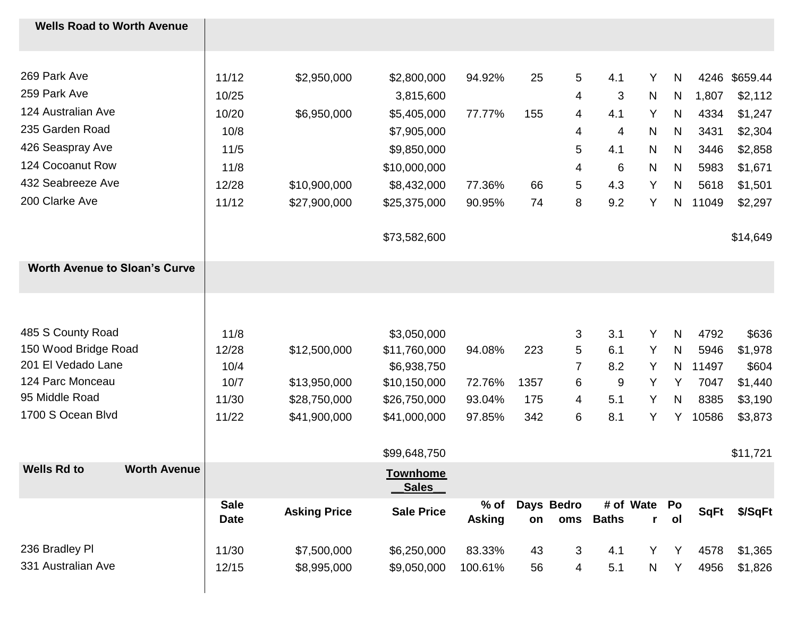| <b>Wells Road to Worth Avenue</b>         |                            |                     |                          |                         |      |                   |              |                              |    |             |          |
|-------------------------------------------|----------------------------|---------------------|--------------------------|-------------------------|------|-------------------|--------------|------------------------------|----|-------------|----------|
| 269 Park Ave                              | 11/12                      | \$2,950,000         | \$2,800,000              | 94.92%                  | 25   | 5                 | 4.1          | Y                            | N  | 4246        | \$659.44 |
| 259 Park Ave                              | 10/25                      |                     | 3,815,600                |                         |      | 4                 | 3            | $\mathsf{N}$                 | N  | 1,807       | \$2,112  |
| 124 Australian Ave                        | 10/20                      | \$6,950,000         | \$5,405,000              | 77.77%                  | 155  | 4                 | 4.1          | Y                            | N  | 4334        | \$1,247  |
| 235 Garden Road                           | 10/8                       |                     | \$7,905,000              |                         |      | 4                 | 4            | N                            | N  | 3431        | \$2,304  |
| 426 Seaspray Ave                          | $11/5$                     |                     | \$9,850,000              |                         |      | 5                 | 4.1          | N                            | N  | 3446        | \$2,858  |
| 124 Cocoanut Row                          | 11/8                       |                     | \$10,000,000             |                         |      | 4                 | 6            | N                            | N  | 5983        | \$1,671  |
| 432 Seabreeze Ave                         | 12/28                      | \$10,900,000        | \$8,432,000              | 77.36%                  | 66   | 5                 | 4.3          | Υ                            | N  | 5618        | \$1,501  |
| 200 Clarke Ave                            | 11/12                      | \$27,900,000        | \$25,375,000             | 90.95%                  | 74   | 8                 | 9.2          | Y                            | N  | 11049       | \$2,297  |
|                                           |                            |                     | \$73,582,600             |                         |      |                   |              |                              |    |             | \$14,649 |
| <b>Worth Avenue to Sloan's Curve</b>      |                            |                     |                          |                         |      |                   |              |                              |    |             |          |
|                                           |                            |                     |                          |                         |      |                   |              |                              |    |             |          |
| 485 S County Road                         | 11/8                       |                     | \$3,050,000              |                         |      | 3                 | 3.1          | Υ                            | N  | 4792        | \$636    |
| 150 Wood Bridge Road                      | 12/28                      | \$12,500,000        | \$11,760,000             | 94.08%                  | 223  | 5                 | 6.1          | Y                            | N  | 5946        | \$1,978  |
| 201 El Vedado Lane                        | 10/4                       |                     | \$6,938,750              |                         |      | 7                 | 8.2          | Y                            | N  | 11497       | \$604    |
| 124 Parc Monceau                          | 10/7                       | \$13,950,000        | \$10,150,000             | 72.76%                  | 1357 | 6                 | 9            | Y                            | Y  | 7047        | \$1,440  |
| 95 Middle Road                            | 11/30                      | \$28,750,000        | \$26,750,000             | 93.04%                  | 175  | 4                 | 5.1          | Y                            | N  | 8385        | \$3,190  |
| 1700 S Ocean Blvd                         | 11/22                      | \$41,900,000        | \$41,000,000             | 97.85%                  | 342  | 6                 | 8.1          | Y                            | Y  | 10586       | \$3,873  |
|                                           |                            |                     | \$99,648,750             |                         |      |                   |              |                              |    |             | \$11,721 |
| <b>Wells Rd to</b><br><b>Worth Avenue</b> |                            |                     | <b>Townhome</b><br>Sales |                         |      |                   |              |                              |    |             |          |
|                                           | <b>Sale</b><br><b>Date</b> | <b>Asking Price</b> | <b>Sale Price</b>        | $%$ of<br><b>Asking</b> | on   | Days Bedro<br>oms | <b>Baths</b> | # of Wate Po<br>$\mathbf{r}$ | ol | <b>SqFt</b> | \$/SqFt  |
| 236 Bradley PI                            | 11/30                      | \$7,500,000         | \$6,250,000              | 83.33%                  | 43   | 3                 | 4.1          | Y                            | Y  | 4578        | \$1,365  |
| 331 Australian Ave                        | 12/15                      | \$8,995,000         | \$9,050,000              | 100.61%                 | 56   | 4                 | 5.1          | N                            | Y  | 4956        | \$1,826  |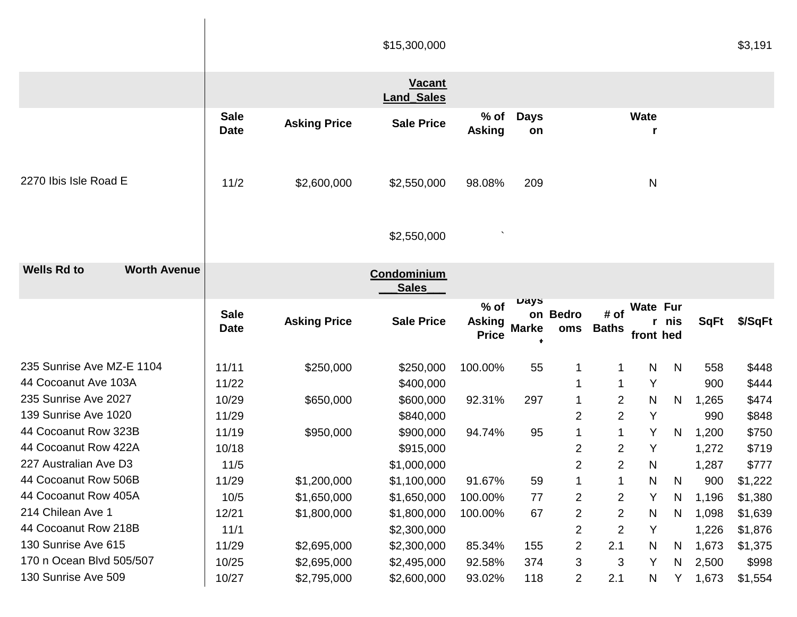|                                           |                            |                            | \$15,300,000                       |                               |                   |                 |                                  |                   |       |                | \$3,191            |
|-------------------------------------------|----------------------------|----------------------------|------------------------------------|-------------------------------|-------------------|-----------------|----------------------------------|-------------------|-------|----------------|--------------------|
|                                           |                            |                            | <b>Vacant</b><br><b>Land Sales</b> |                               |                   |                 |                                  |                   |       |                |                    |
|                                           | <b>Sale</b><br><b>Date</b> | <b>Asking Price</b>        | <b>Sale Price</b>                  | $%$ of<br><b>Asking</b>       | <b>Days</b><br>on |                 |                                  | <b>Wate</b><br>r  |       |                |                    |
| 2270 Ibis Isle Road E                     | 11/2                       | \$2,600,000                | \$2,550,000                        | 98.08%                        | 209               |                 |                                  | N                 |       |                |                    |
|                                           |                            |                            | \$2,550,000                        |                               |                   |                 |                                  |                   |       |                |                    |
| <b>Wells Rd to</b><br><b>Worth Avenue</b> |                            |                            | Condominium<br><b>Sales</b>        |                               |                   |                 |                                  |                   |       |                |                    |
|                                           |                            |                            |                                    | $%$ of                        | Days              |                 |                                  | <b>Wate Fur</b>   |       |                |                    |
|                                           | <b>Sale</b><br><b>Date</b> | <b>Asking Price</b>        | <b>Sale Price</b>                  | <b>Asking</b><br><b>Price</b> | <b>Marke</b>      | on Bedro<br>oms | # of<br><b>Baths</b>             | front hed         | r nis | <b>SqFt</b>    | \$/SqFt            |
| 235 Sunrise Ave MZ-E 1104                 | 11/11                      |                            |                                    |                               |                   |                 | 1                                |                   | N     |                |                    |
| 44 Cocoanut Ave 103A                      | 11/22                      | \$250,000                  | \$250,000<br>\$400,000             | 100.00%                       | 55                |                 | 1                                | $\mathsf{N}$<br>Y |       | 558<br>900     | \$448<br>\$444     |
| 235 Sunrise Ave 2027                      | 10/29                      | \$650,000                  |                                    | 92.31%                        | 297               |                 |                                  | N                 | N     |                |                    |
| 139 Sunrise Ave 1020                      | 11/29                      |                            | \$600,000                          |                               |                   | 2               | $\overline{c}$<br>$\overline{2}$ | Y                 |       | 1,265          | \$474              |
| 44 Cocoanut Row 323B                      | 11/19                      | \$950,000                  | \$840,000                          | 94.74%                        | 95                |                 | 1                                | Y                 | N     | 990            | \$848              |
| 44 Cocoanut Row 422A                      | 10/18                      |                            | \$900,000                          |                               |                   | 2               | 2                                | Y                 |       | 1,200          | \$750              |
| 227 Australian Ave D3                     | 11/5                       |                            | \$915,000<br>\$1,000,000           |                               |                   | $\overline{2}$  | 2                                | N                 |       | 1,272<br>1,287 | \$719<br>\$777     |
| 44 Cocoanut Row 506B                      | 11/29                      |                            |                                    | 91.67%                        |                   |                 | 1                                | N                 | N     |                |                    |
| 44 Cocoanut Row 405A                      |                            | \$1,200,000<br>\$1,650,000 | \$1,100,000                        | 100.00%                       | 59<br>77          |                 |                                  | Y                 | N     | 900            | \$1,222            |
| 214 Chilean Ave 1                         | 10/5<br>12/21              | \$1,800,000                | \$1,650,000<br>\$1,800,000         | 100.00%                       | 67                | 2<br>2          | 2<br>$\overline{2}$              | N                 | N     | 1,196<br>1,098 | \$1,380<br>\$1,639 |
| 44 Cocoanut Row 218B                      | 11/1                       |                            | \$2,300,000                        |                               |                   | 2               | 2                                | Y                 |       | 1,226          | \$1,876            |
| 130 Sunrise Ave 615                       | 11/29                      | \$2,695,000                | \$2,300,000                        | 85.34%                        | 155               | 2               | 2.1                              | N                 | N     | 1,673          | \$1,375            |
| 170 n Ocean Blvd 505/507                  | 10/25                      | \$2,695,000                | \$2,495,000                        | 92.58%                        | 374               | 3               | 3                                | Y                 | N     | 2,500          | \$998              |